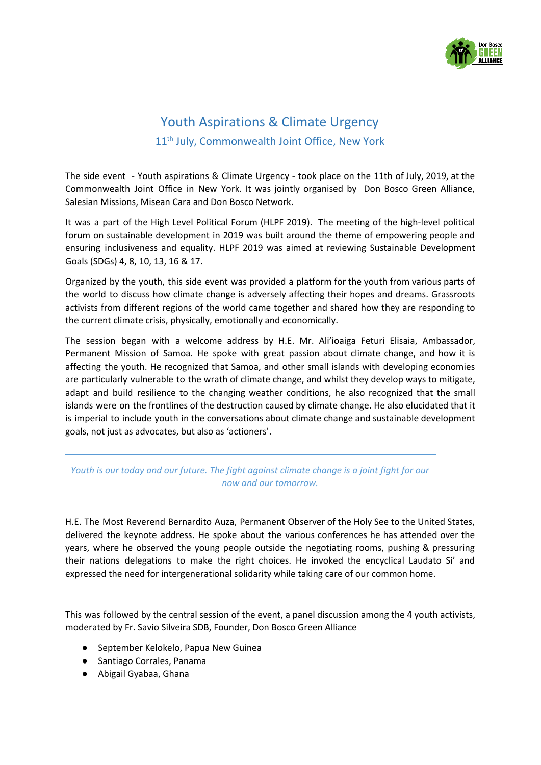

## Youth Aspirations & Climate Urgency 11<sup>th</sup> July, Commonwealth Joint Office, New York

The side event - Youth aspirations & Climate Urgency - took place on the 11th of July, 2019, at the Commonwealth Joint Office in New York. It was jointly organised by Don Bosco Green Alliance, Salesian Missions, Misean Cara and Don Bosco Network.

It was a part of the High Level Political Forum (HLPF 2019). The meeting of the high-level political forum on sustainable development in 2019 was built around the theme of empowering people and ensuring inclusiveness and equality. HLPF 2019 was aimed at reviewing Sustainable Development Goals (SDGs) 4, 8, 10, 13, 16 & 17.

Organized by the youth, this side event was provided a platform for the youth from various parts of the world to discuss how climate change is adversely affecting their hopes and dreams. Grassroots activists from different regions of the world came together and shared how they are responding to the current climate crisis, physically, emotionally and economically.

The session began with a welcome address by H.E. Mr. Ali'ioaiga Feturi Elisaia, Ambassador, Permanent Mission of Samoa. He spoke with great passion about climate change, and how it is affecting the youth. He recognized that Samoa, and other small islands with developing economies are particularly vulnerable to the wrath of climate change, and whilst they develop ways to mitigate, adapt and build resilience to the changing weather conditions, he also recognized that the small islands were on the frontlines of the destruction caused by climate change. He also elucidated that it is imperial to include youth in the conversations about climate change and sustainable development goals, not just as advocates, but also as 'actioners'.

## *Youth is our today and our future. The fight against climate change is a joint fight for our now and our tomorrow.*

H.E. The Most Reverend Bernardito Auza, Permanent Observer of the Holy See to the United States, delivered the keynote address. He spoke about the various conferences he has attended over the years, where he observed the young people outside the negotiating rooms, pushing & pressuring their nations delegations to make the right choices. He invoked the encyclical Laudato Si' and expressed the need for intergenerational solidarity while taking care of our common home.

This was followed by the central session of the event, a panel discussion among the 4 youth activists, moderated by Fr. Savio Silveira SDB, Founder, Don Bosco Green Alliance

- September Kelokelo, Papua New Guinea
- Santiago Corrales, Panama
- Abigail Gyabaa, Ghana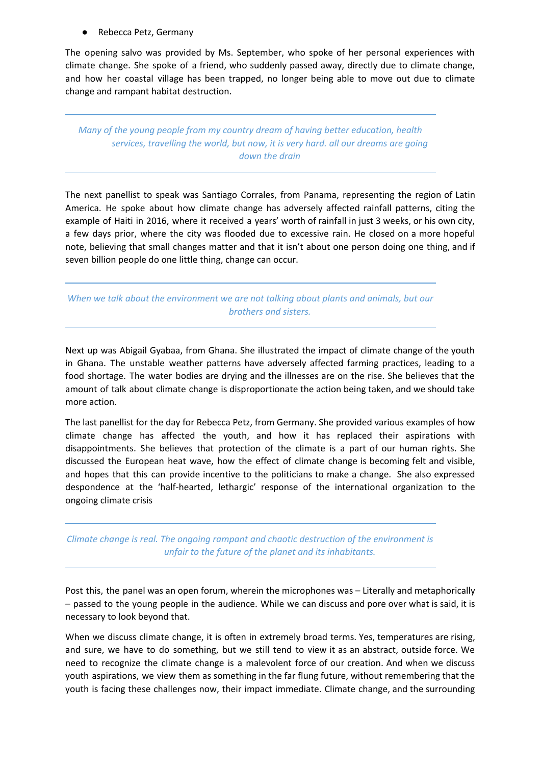Rebecca Petz, Germany

The opening salvo was provided by Ms. September, who spoke of her personal experiences with climate change. She spoke of a friend, who suddenly passed away, directly due to climate change, and how her coastal village has been trapped, no longer being able to move out due to climate change and rampant habitat destruction.

*Many of the young people from my country dream of having better education, health services, travelling the world, but now, it is very hard. all our dreams are going down the drain*

The next panellist to speak was Santiago Corrales, from Panama, representing the region of Latin America. He spoke about how climate change has adversely affected rainfall patterns, citing the example of Haiti in 2016, where it received a years' worth of rainfall in just 3 weeks, or his own city, a few days prior, where the city was flooded due to excessive rain. He closed on a more hopeful note, believing that small changes matter and that it isn't about one person doing one thing, and if seven billion people do one little thing, change can occur.

*When we talk about the environment we are not talking about plants and animals, but our brothers and sisters.*

Next up was Abigail Gyabaa, from Ghana. She illustrated the impact of climate change of the youth in Ghana. The unstable weather patterns have adversely affected farming practices, leading to a food shortage. The water bodies are drying and the illnesses are on the rise. She believes that the amount of talk about climate change is disproportionate the action being taken, and we should take more action.

The last panellist for the day for Rebecca Petz, from Germany. She provided various examples of how climate change has affected the youth, and how it has replaced their aspirations with disappointments. She believes that protection of the climate is a part of our human rights. She discussed the European heat wave, how the effect of climate change is becoming felt and visible, and hopes that this can provide incentive to the politicians to make a change. She also expressed despondence at the 'half-hearted, lethargic' response of the international organization to the ongoing climate crisis

*Climate change is real. The ongoing rampant and chaotic destruction of the environment is unfair to the future of the planet and its inhabitants.*

Post this, the panel was an open forum, wherein the microphones was – Literally and metaphorically – passed to the young people in the audience. While we can discuss and pore over what is said, it is necessary to look beyond that.

When we discuss climate change, it is often in extremely broad terms. Yes, temperatures are rising, and sure, we have to do something, but we still tend to view it as an abstract, outside force. We need to recognize the climate change is a malevolent force of our creation. And when we discuss youth aspirations, we view them as something in the far flung future, without remembering that the youth is facing these challenges now, their impact immediate. Climate change, and the surrounding